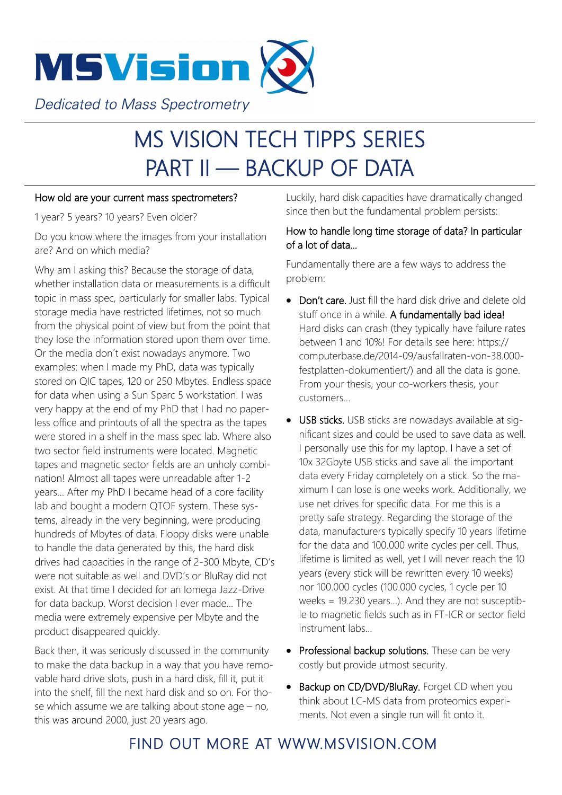

# MS VISION TECH TIPPS SERIES PART II — BACKUP OF DATA

#### How old are your current mass spectrometers?

1 year? 5 years? 10 years? Even older?

Do you know where the images from your installation are? And on which media?

Why am I asking this? Because the storage of data, whether installation data or measurements is a difficult topic in mass spec, particularly for smaller labs. Typical storage media have restricted lifetimes, not so much from the physical point of view but from the point that they lose the information stored upon them over time. Or the media don´t exist nowadays anymore. Two examples: when I made my PhD, data was typically stored on QIC tapes, 120 or 250 Mbytes. Endless space for data when using a Sun Sparc 5 workstation. I was very happy at the end of my PhD that I had no paperless office and printouts of all the spectra as the tapes were stored in a shelf in the mass spec lab. Where also two sector field instruments were located. Magnetic tapes and magnetic sector fields are an unholy combination! Almost all tapes were unreadable after 1-2 years… After my PhD I became head of a core facility lab and bought a modern QTOF system. These systems, already in the very beginning, were producing hundreds of Mbytes of data. Floppy disks were unable to handle the data generated by this, the hard disk drives had capacities in the range of 2-300 Mbyte, CD's were not suitable as well and DVD's or BluRay did not exist. At that time I decided for an Iomega Jazz-Drive for data backup. Worst decision I ever made... The media were extremely expensive per Mbyte and the product disappeared quickly.

Back then, it was seriously discussed in the community to make the data backup in a way that you have removable hard drive slots, push in a hard disk, fill it, put it into the shelf, fill the next hard disk and so on. For those which assume we are talking about stone age – no, this was around 2000, just 20 years ago.

Luckily, hard disk capacities have dramatically changed since then but the fundamental problem persists:

#### How to handle long time storage of data? In particular of a lot of data...

Fundamentally there are a few ways to address the problem:

- Don't care, Just fill the hard disk drive and delete old stuff once in a while. A fundamentally bad idea! Hard disks can crash (they typically have failure rates between 1 and 10%! For details see here: https:// computerbase.de/2014-09/ausfallraten-von-38.000 festplatten-dokumentiert/) and all the data is gone. From your thesis, your co-workers thesis, your customers…
- USB sticks. USB sticks are nowadays available at significant sizes and could be used to save data as well. I personally use this for my laptop. I have a set of 10x 32Gbyte USB sticks and save all the important data every Friday completely on a stick. So the maximum I can lose is one weeks work. Additionally, we use net drives for specific data. For me this is a pretty safe strategy. Regarding the storage of the data, manufacturers typically specify 10 years lifetime for the data and 100.000 write cycles per cell. Thus, lifetime is limited as well, yet I will never reach the 10 years (every stick will be rewritten every 10 weeks) nor 100.000 cycles (100.000 cycles, 1 cycle per 10 weeks = 19.230 years…). And they are not susceptible to magnetic fields such as in FT-ICR or sector field instrument labs...
- Professional backup solutions. These can be very costly but provide utmost security.
- Backup on CD/DVD/BluRay. Forget CD when you think about LC-MS data from proteomics experiments. Not even a single run will fit onto it.

## FIND OUT MORE AT WWW.MSVISION.COM